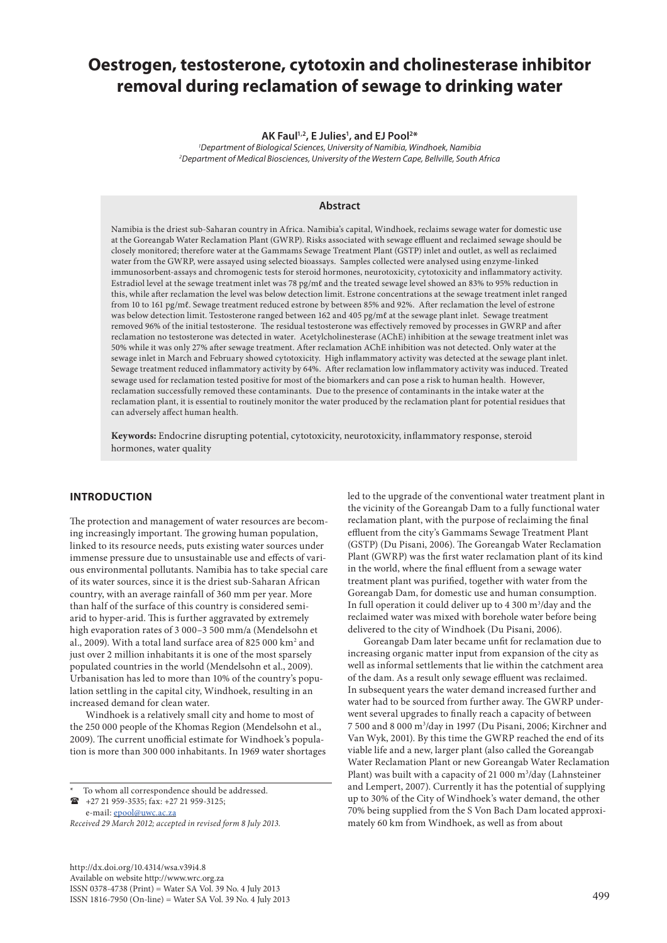# **Oestrogen, testosterone, cytotoxin and cholinesterase inhibitor removal during reclamation of sewage to drinking water**

#### **AK Faul1,2, E Julies1 , and EJ Pool2 \***

*1 Department of Biological Sciences, University of Namibia, Windhoek, Namibia 2 Department of Medical Biosciences, University of the Western Cape, Bellville, South Africa* 

# **Abstract**

Namibia is the driest sub-Saharan country in Africa. Namibia's capital, Windhoek, reclaims sewage water for domestic use at the Goreangab Water Reclamation Plant (GWRP). Risks associated with sewage effluent and reclaimed sewage should be closely monitored; therefore water at the Gammams Sewage Treatment Plant (GSTP) inlet and outlet, as well as reclaimed water from the GWRP, were assayed using selected bioassays. Samples collected were analysed using enzyme-linked immunosorbent-assays and chromogenic tests for steroid hormones, neurotoxicity, cytotoxicity and inflammatory activity. Estradiol level at the sewage treatment inlet was 78 pg/mℓ and the treated sewage level showed an 83% to 95% reduction in this, while after reclamation the level was below detection limit. Estrone concentrations at the sewage treatment inlet ranged from 10 to 161 pg/mℓ. Sewage treatment reduced estrone by between 85% and 92%. After reclamation the level of estrone was below detection limit. Testosterone ranged between 162 and 405 pg/mℓ at the sewage plant inlet. Sewage treatment removed 96% of the initial testosterone. The residual testosterone was effectively removed by processes in GWRP and after reclamation no testosterone was detected in water. Acetylcholinesterase (AChE) inhibition at the sewage treatment inlet was 50% while it was only 27% after sewage treatment. After reclamation AChE inhibition was not detected. Only water at the sewage inlet in March and February showed cytotoxicity. High inflammatory activity was detected at the sewage plant inlet. Sewage treatment reduced inflammatory activity by 64%. After reclamation low inflammatory activity was induced. Treated sewage used for reclamation tested positive for most of the biomarkers and can pose a risk to human health. However, reclamation successfully removed these contaminants. Due to the presence of contaminants in the intake water at the reclamation plant, it is essential to routinely monitor the water produced by the reclamation plant for potential residues that can adversely affect human health.

**Keywords:** Endocrine disrupting potential, cytotoxicity, neurotoxicity, inflammatory response, steroid hormones, water quality

# **INTRODUCTION**

The protection and management of water resources are becoming increasingly important. The growing human population, linked to its resource needs, puts existing water sources under immense pressure due to unsustainable use and effects of various environmental pollutants. Namibia has to take special care of its water sources, since it is the driest sub-Saharan African country, with an average rainfall of 360 mm per year. More than half of the surface of this country is considered semiarid to hyper-arid. This is further aggravated by extremely high evaporation rates of 3 000–3 500 mm/a (Mendelsohn et al., 2009). With a total land surface area of 825 000 km<sup>2</sup> and just over 2 million inhabitants it is one of the most sparsely populated countries in the world (Mendelsohn et al., 2009). Urbanisation has led to more than 10% of the country's population settling in the capital city, Windhoek, resulting in an increased demand for clean water.

Windhoek is a relatively small city and home to most of the 250 000 people of the Khomas Region (Mendelsohn et al., 2009). The current unofficial estimate for Windhoek's population is more than 300 000 inhabitants. In 1969 water shortages

To whom all correspondence should be addressed.

 $\bullet$  +27 21 959-3535; fax: +27 21 959-3125; e-mail: [epool@uwc.ac.za](mailto:epool@uwc.ac.za)

*Received 29 March 2012; accepted in revised form 8 July 2013.*

http://dx.doi.org/10.4314/wsa.v39i4.8 Available on website http://www.wrc.org.za ISSN 0378-4738 (Print) = Water SA Vol. 39 No. 4 July 2013 ISSN 1816-7950 (On-line) = Water SA Vol. 39 No. 4 July 2013 499

led to the upgrade of the conventional water treatment plant in the vicinity of the Goreangab Dam to a fully functional water reclamation plant, with the purpose of reclaiming the final effluent from the city's Gammams Sewage Treatment Plant (GSTP) (Du Pisani, 2006). The Goreangab Water Reclamation Plant (GWRP) was the first water reclamation plant of its kind in the world, where the final effluent from a sewage water treatment plant was purified, together with water from the Goreangab Dam, for domestic use and human consumption. In full operation it could deliver up to  $4\,300\,\mathrm{m}^3/\mathrm{day}$  and the reclaimed water was mixed with borehole water before being delivered to the city of Windhoek (Du Pisani, 2006).

Goreangab Dam later became unfit for reclamation due to increasing organic matter input from expansion of the city as well as informal settlements that lie within the catchment area of the dam. As a result only sewage effluent was reclaimed. In subsequent years the water demand increased further and water had to be sourced from further away. The GWRP underwent several upgrades to finally reach a capacity of between 7 500 and 8 000 m3 /day in 1997 (Du Pisani, 2006; Kirchner and Van Wyk, 2001). By this time the GWRP reached the end of its viable life and a new, larger plant (also called the Goreangab Water Reclamation Plant or new Goreangab Water Reclamation Plant) was built with a capacity of 21 000  $\mathrm{m}^3/\mathrm{day}$  (Lahnsteiner and Lempert, 2007). Currently it has the potential of supplying up to 30% of the City of Windhoek's water demand, the other 70% being supplied from the S Von Bach Dam located approximately 60 km from Windhoek, as well as from about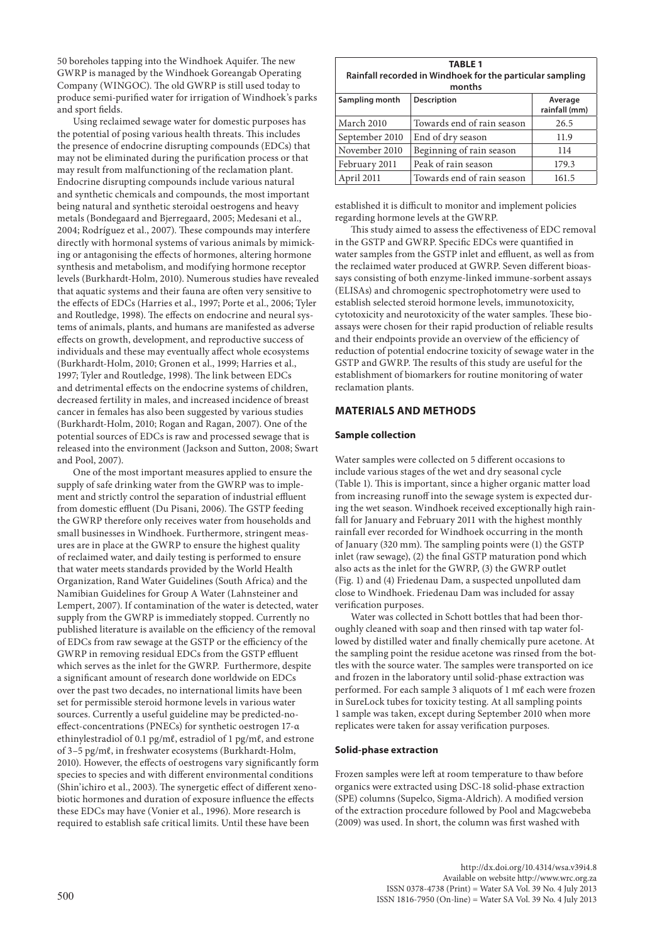50 boreholes tapping into the Windhoek Aquifer. The new GWRP is managed by the Windhoek Goreangab Operating Company (WINGOC). The old GWRP is still used today to produce semi-purified water for irrigation of Windhoek's parks and sport fields.

Using reclaimed sewage water for domestic purposes has the potential of posing various health threats. This includes the presence of endocrine disrupting compounds (EDCs) that may not be eliminated during the purification process or that may result from malfunctioning of the reclamation plant. Endocrine disrupting compounds include various natural and synthetic chemicals and compounds, the most important being natural and synthetic steroidal oestrogens and heavy metals (Bondegaard and Bjerregaard, 2005; Medesani et al., 2004; Rodríguez et al., 2007). These compounds may interfere directly with hormonal systems of various animals by mimicking or antagonising the effects of hormones, altering hormone synthesis and metabolism, and modifying hormone receptor levels (Burkhardt-Holm, 2010). Numerous studies have revealed that aquatic systems and their fauna are often very sensitive to the effects of EDCs (Harries et al., 1997; Porte et al., 2006; Tyler and Routledge, 1998). The effects on endocrine and neural systems of animals, plants, and humans are manifested as adverse effects on growth, development, and reproductive success of individuals and these may eventually affect whole ecosystems (Burkhardt-Holm, 2010; Gronen et al., 1999; Harries et al., 1997; Tyler and Routledge, 1998). The link between EDCs and detrimental effects on the endocrine systems of children, decreased fertility in males, and increased incidence of breast cancer in females has also been suggested by various studies (Burkhardt-Holm, 2010; Rogan and Ragan, 2007). One of the potential sources of EDCs is raw and processed sewage that is released into the environment (Jackson and Sutton, 2008; Swart and Pool, 2007).

One of the most important measures applied to ensure the supply of safe drinking water from the GWRP was to implement and strictly control the separation of industrial effluent from domestic effluent (Du Pisani, 2006). The GSTP feeding the GWRP therefore only receives water from households and small businesses in Windhoek. Furthermore, stringent measures are in place at the GWRP to ensure the highest quality of reclaimed water, and daily testing is performed to ensure that water meets standards provided by the World Health Organization, Rand Water Guidelines (South Africa) and the Namibian Guidelines for Group A Water (Lahnsteiner and Lempert, 2007). If contamination of the water is detected, water supply from the GWRP is immediately stopped. Currently no published literature is available on the efficiency of the removal of EDCs from raw sewage at the GSTP or the efficiency of the GWRP in removing residual EDCs from the GSTP effluent which serves as the inlet for the GWRP. Furthermore, despite a significant amount of research done worldwide on EDCs over the past two decades, no international limits have been set for permissible steroid hormone levels in various water sources. Currently a useful guideline may be predicted-noeffect-concentrations (PNECs) for synthetic oestrogen 17-α ethinylestradiol of 0.1 pg/mℓ, estradiol of 1 pg/mℓ, and estrone of 3–5 pg/mℓ, in freshwater ecosystems (Burkhardt-Holm, 2010). However, the effects of oestrogens vary significantly form species to species and with different environmental conditions (Shin'ichiro et al., 2003). The synergetic effect of different xenobiotic hormones and duration of exposure influence the effects these EDCs may have (Vonier et al., 1996). More research is required to establish safe critical limits. Until these have been

| <b>TABLE 1</b><br>Rainfall recorded in Windhoek for the particular sampling<br>months |                            |                          |  |  |  |  |
|---------------------------------------------------------------------------------------|----------------------------|--------------------------|--|--|--|--|
| Sampling month                                                                        | <b>Description</b>         | Average<br>rainfall (mm) |  |  |  |  |
| March 2010                                                                            | Towards end of rain season | 26.5                     |  |  |  |  |
| September 2010                                                                        | End of dry season          | 11.9                     |  |  |  |  |
| November 2010                                                                         | Beginning of rain season   | 114                      |  |  |  |  |
| February 2011                                                                         | Peak of rain season        | 179.3                    |  |  |  |  |
| April 2011                                                                            | Towards end of rain season | 161.5                    |  |  |  |  |

established it is difficult to monitor and implement policies regarding hormone levels at the GWRP.

This study aimed to assess the effectiveness of EDC removal in the GSTP and GWRP. Specific EDCs were quantified in water samples from the GSTP inlet and effluent, as well as from the reclaimed water produced at GWRP. Seven different bioassays consisting of both enzyme-linked immune-sorbent assays (ELISAs) and chromogenic spectrophotometry were used to establish selected steroid hormone levels, immunotoxicity, cytotoxicity and neurotoxicity of the water samples. These bioassays were chosen for their rapid production of reliable results and their endpoints provide an overview of the efficiency of reduction of potential endocrine toxicity of sewage water in the GSTP and GWRP. The results of this study are useful for the establishment of biomarkers for routine monitoring of water reclamation plants.

# **MATERIALS AND METHODS**

### **Sample collection**

Water samples were collected on 5 different occasions to include various stages of the wet and dry seasonal cycle (Table 1). This is important, since a higher organic matter load from increasing runoff into the sewage system is expected during the wet season. Windhoek received exceptionally high rainfall for January and February 2011 with the highest monthly rainfall ever recorded for Windhoek occurring in the month of January (320 mm). The sampling points were (1) the GSTP inlet (raw sewage), (2) the final GSTP maturation pond which also acts as the inlet for the GWRP, (3) the GWRP outlet (Fig. 1) and (4) Friedenau Dam, a suspected unpolluted dam close to Windhoek. Friedenau Dam was included for assay verification purposes.

Water was collected in Schott bottles that had been thoroughly cleaned with soap and then rinsed with tap water followed by distilled water and finally chemically pure acetone. At the sampling point the residue acetone was rinsed from the bottles with the source water. The samples were transported on ice and frozen in the laboratory until solid-phase extraction was performed. For each sample 3 aliquots of 1 mℓ each were frozen in SureLock tubes for toxicity testing. At all sampling points 1 sample was taken, except during September 2010 when more replicates were taken for assay verification purposes.

#### **Solid-phase extraction**

Frozen samples were left at room temperature to thaw before organics were extracted using DSC-18 solid-phase extraction (SPE) columns (Supelco, Sigma-Aldrich). A modified version of the extraction procedure followed by Pool and Magcwebeba (2009) was used. In short, the column was first washed with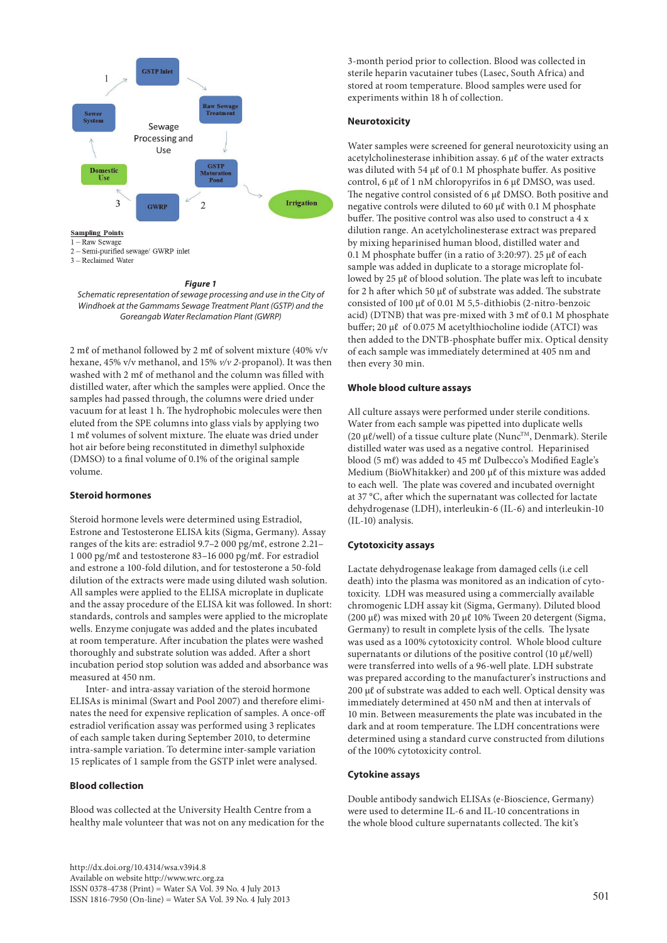

#### *Figure 1*

*Schematic representation of sewage processing and use in the City of Windhoek at the Gammams Sewage Treatment Plant (GSTP) and the Goreangab Water Reclamation Plant (GWRP)*

2 mℓ of methanol followed by 2 mℓ of solvent mixture (40% v/v hexane, 45% v/v methanol, and 15% *v/v 2-*propanol). It was then washed with 2 mℓ of methanol and the column was filled with distilled water, after which the samples were applied. Once the samples had passed through, the columns were dried under vacuum for at least 1 h. The hydrophobic molecules were then eluted from the SPE columns into glass vials by applying two 1 mℓ volumes of solvent mixture. The eluate was dried under hot air before being reconstituted in dimethyl sulphoxide (DMSO) to a final volume of 0.1% of the original sample volume.

### **Steroid hormones**

Steroid hormone levels were determined using Estradiol, Estrone and Testosterone ELISA kits (Sigma, Germany). Assay ranges of the kits are: estradiol 9.7–2 000 pg/mℓ, estrone 2.21– 1 000 pg/mℓ and testosterone 83–16 000 pg/mℓ. For estradiol and estrone a 100-fold dilution, and for testosterone a 50-fold dilution of the extracts were made using diluted wash solution. All samples were applied to the ELISA microplate in duplicate and the assay procedure of the ELISA kit was followed. In short: standards, controls and samples were applied to the microplate wells. Enzyme conjugate was added and the plates incubated at room temperature. After incubation the plates were washed thoroughly and substrate solution was added. After a short incubation period stop solution was added and absorbance was measured at 450 nm.

Inter- and intra-assay variation of the steroid hormone ELISAs is minimal (Swart and Pool 2007) and therefore eliminates the need for expensive replication of samples. A once-off estradiol verification assay was performed using 3 replicates of each sample taken during September 2010, to determine intra-sample variation. To determine inter-sample variation 15 replicates of 1 sample from the GSTP inlet were analysed.

#### **Blood collection**

Blood was collected at the University Health Centre from a healthy male volunteer that was not on any medication for the

http://dx.doi.org/10.4314/wsa.v39i4.8 Available on website http://www.wrc.org.za ISSN 0378-4738 (Print) = Water SA Vol. 39 No. 4 July 2013  $1$ SSN 1816-7950 (On-line) = Water SA Vol. 39 No. 4 July 2013 501

3-month period prior to collection. Blood was collected in sterile heparin vacutainer tubes (Lasec, South Africa) and stored at room temperature. Blood samples were used for experiments within 18 h of collection.

### **Neurotoxicity**

Water samples were screened for general neurotoxicity using an acetylcholinesterase inhibition assay. 6 µℓ of the water extracts was diluted with 54 µℓ of 0.1 M phosphate buffer. As positive control, 6 µℓ of 1 nM chloropyrifos in 6 µℓ DMSO, was used. The negative control consisted of 6 µℓ DMSO. Both positive and negative controls were diluted to 60 µℓ with 0.1 M phosphate buffer. The positive control was also used to construct a 4 x dilution range. An acetylcholinesterase extract was prepared by mixing heparinised human blood, distilled water and 0.1 M phosphate buffer (in a ratio of 3:20:97). 25 µℓ of each sample was added in duplicate to a storage microplate followed by 25 µℓ of blood solution. The plate was left to incubate for 2 h after which 50 µℓ of substrate was added. The substrate consisted of 100 µℓ of 0.01 M 5,5-dithiobis (2-nitro-benzoic acid) (DTNB) that was pre-mixed with 3 mℓ of 0.1 M phosphate buffer; 20 µℓ of 0.075 M acetylthiocholine iodide (ATCI) was then added to the DNTB-phosphate buffer mix. Optical density of each sample was immediately determined at 405 nm and then every 30 min.

### **Whole blood culture assays**

All culture assays were performed under sterile conditions. Water from each sample was pipetted into duplicate wells (20  $\mu$ l/well) of a tissue culture plate (Nunc<sup>TM</sup>, Denmark). Sterile distilled water was used as a negative control. Heparinised blood (5 mℓ) was added to 45 mℓ Dulbecco's Modified Eagle's Medium (BioWhitakker) and 200 µℓ of this mixture was added to each well. The plate was covered and incubated overnight at 37 °C, after which the supernatant was collected for lactate dehydrogenase (LDH), interleukin-6 (IL-6) and interleukin-10 (IL-10) analysis.

### **Cytotoxicity assays**

Lactate dehydrogenase leakage from damaged cells (i.e cell death) into the plasma was monitored as an indication of cytotoxicity. LDH was measured using a commercially available chromogenic LDH assay kit (Sigma, Germany). Diluted blood (200 µℓ) was mixed with 20 µℓ 10% Tween 20 detergent (Sigma, Germany) to result in complete lysis of the cells. The lysate was used as a 100% cytotoxicity control. Whole blood culture supernatants or dilutions of the positive control (10  $\mu$ l/well) were transferred into wells of a 96-well plate. LDH substrate was prepared according to the manufacturer's instructions and 200 µℓ of substrate was added to each well. Optical density was immediately determined at 450 nM and then at intervals of 10 min. Between measurements the plate was incubated in the dark and at room temperature. The LDH concentrations were determined using a standard curve constructed from dilutions of the 100% cytotoxicity control.

#### **Cytokine assays**

Double antibody sandwich ELISAs (e-Bioscience, Germany) were used to determine IL-6 and IL-10 concentrations in the whole blood culture supernatants collected. The kit's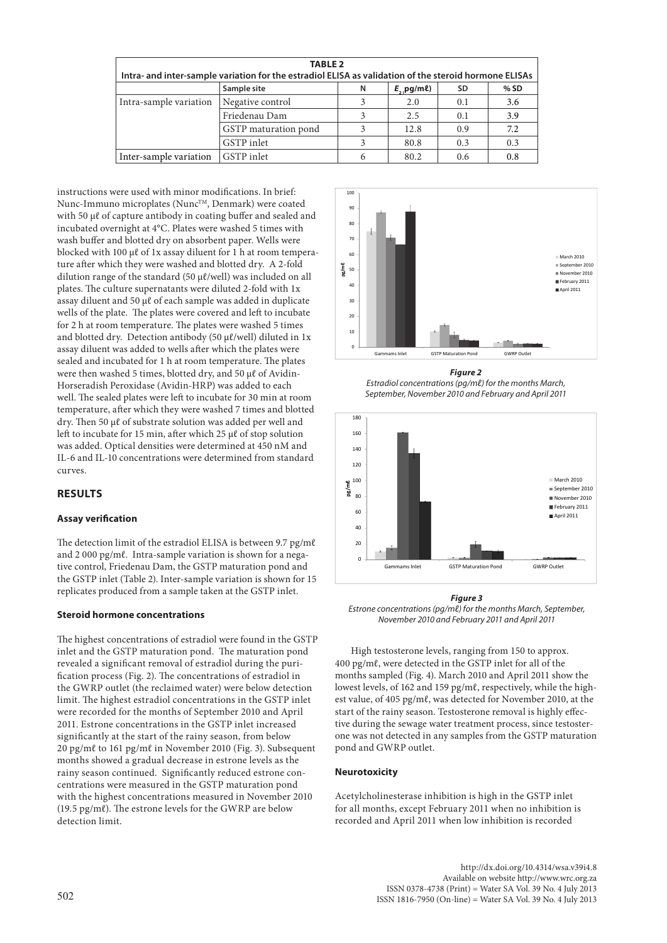| <b>TABLE 2</b><br>Intra- and inter-sample variation for the estradiol ELISA as validation of the steroid hormone ELISAs |                      |   |                         |           |      |  |  |
|-------------------------------------------------------------------------------------------------------------------------|----------------------|---|-------------------------|-----------|------|--|--|
|                                                                                                                         | Sample site          | N | $E_{2}$ , pg/m $\ell$ ) | <b>SD</b> | % SD |  |  |
| Intra-sample variation                                                                                                  | Negative control     |   | 2.0                     | 0.1       | 3.6  |  |  |
|                                                                                                                         | Friedenau Dam        | 3 | 2.5                     | 0.1       | 3.9  |  |  |
|                                                                                                                         | GSTP maturation pond | 3 | 12.8                    | 0.9       | 7.2  |  |  |
|                                                                                                                         | <b>GSTP</b> inlet    |   | 80.8                    | 0.3       | 0.3  |  |  |
| Inter-sample variation                                                                                                  | GSTP inlet           | 6 | 80.2                    | 0.6       | 0.8  |  |  |

instructions were used with minor modifications. In brief: Nunc-Immuno microplates (Nunc™, Denmark) were coated with 50 μℓ of capture antibody in coating buffer and sealed and incubated overnight at 4°C. Plates were washed 5 times with wash buffer and blotted dry on absorbent paper. Wells were blocked with 100 µℓ of 1x assay diluent for 1 h at room temperature after which they were washed and blotted dry. A 2-fold dilution range of the standard (50 µℓ/well) was included on all plates. The culture supernatants were diluted 2-fold with 1x assay diluent and 50 µℓ of each sample was added in duplicate wells of the plate. The plates were covered and left to incubate for 2 h at room temperature. The plates were washed 5 times and blotted dry. Detection antibody (50  $\mu$ l/well) diluted in 1x assay diluent was added to wells after which the plates were sealed and incubated for 1 h at room temperature. The plates were then washed 5 times, blotted dry, and 50 µℓ of Avidin-Horseradish Peroxidase (Avidin-HRP) was added to each well. The sealed plates were left to incubate for 30 min at room temperature, after which they were washed 7 times and blotted dry. Then 50 µℓ of substrate solution was added per well and left to incubate for 15 min, after which 25 µℓ of stop solution was added. Optical densities were determined at 450 nM and IL-6 and IL-10 concentrations were determined from standard curves.

# **RESULTS**

### **Assay verification**

The detection limit of the estradiol ELISA is between 9.7 pg/mℓ and 2 000 pg/mℓ. Intra-sample variation is shown for a negative control, Friedenau Dam, the GSTP maturation pond and the GSTP inlet (Table 2). Inter-sample variation is shown for 15 replicates produced from a sample taken at the GSTP inlet.

### **Steroid hormone concentrations**

The highest concentrations of estradiol were found in the GSTP inlet and the GSTP maturation pond. The maturation pond revealed a significant removal of estradiol during the purification process (Fig. 2). The concentrations of estradiol in the GWRP outlet (the reclaimed water) were below detection limit. The highest estradiol concentrations in the GSTP inlet were recorded for the months of September 2010 and April 2011. Estrone concentrations in the GSTP inlet increased significantly at the start of the rainy season, from below 20 pg/mℓ to 161 pg/mℓ in November 2010 (Fig. 3). Subsequent months showed a gradual decrease in estrone levels as the rainy season continued. Significantly reduced estrone concentrations were measured in the GSTP maturation pond with the highest concentrations measured in November 2010 (19.5 pg/mℓ). The estrone levels for the GWRP are below detection limit.



*Figure 2 Estradiol concentrations (pg/mℓ) for the months March,* 

*September, November 2010 and February and April 2011*



*Figure 3 Estrone concentrations (pg/mℓ) for the months March, September, November 2010 and February 2011 and April 2011*

High testosterone levels, ranging from 150 to approx. 400 pg/mℓ, were detected in the GSTP inlet for all of the months sampled (Fig. 4). March 2010 and April 2011 show the lowest levels, of 162 and 159 pg/mℓ, respectively, while the highest value, of 405 pg/mℓ, was detected for November 2010, at the start of the rainy season. Testosterone removal is highly effective during the sewage water treatment process, since testosterone was not detected in any samples from the GSTP maturation pond and GWRP outlet.

### **Neurotoxicity**

Acetylcholinesterase inhibition is high in the GSTP inlet for all months, except February 2011 when no inhibition is recorded and April 2011 when low inhibition is recorded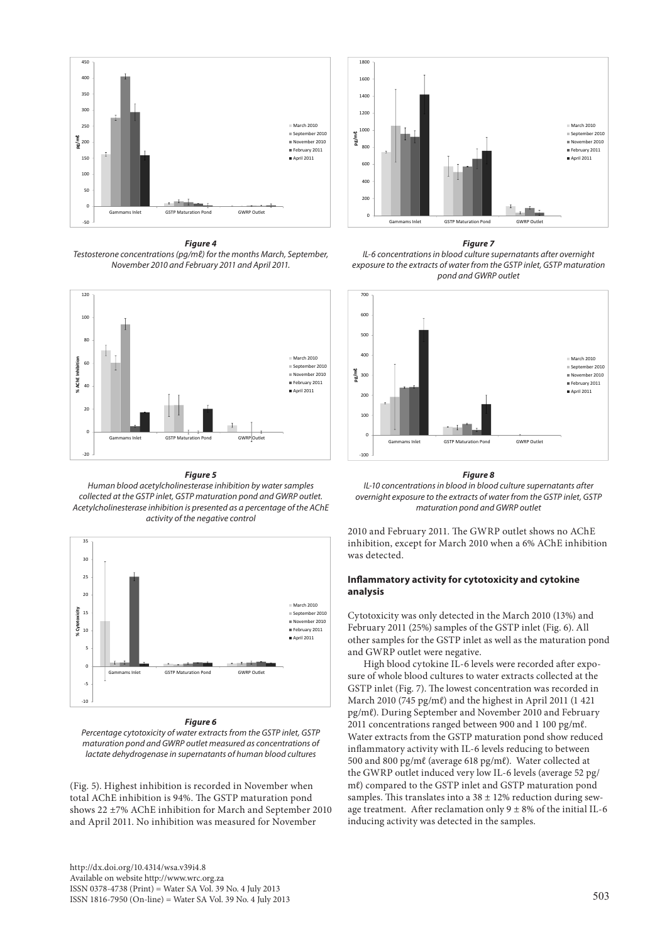

*Figure 4 Testosterone concentrations (pg/mℓ) for the months March, September, November 2010 and February 2011 and April 2011.*



#### *Figure 5*

*Human blood acetylcholinesterase inhibition by water samples collected at the GSTP inlet, GSTP maturation pond and GWRP outlet. Acetylcholinesterase inhibition is presented as a percentage of the AChE activity of the negative control*



#### *Figure 6*

*Percentage cytotoxicity of water extracts from the GSTP inlet, GSTP maturation pond and GWRP outlet measured as concentrations of lactate dehydrogenase in supernatants of human blood cultures*

(Fig. 5). Highest inhibition is recorded in November when total AChE inhibition is 94%. The GSTP maturation pond shows 22 ±7% AChE inhibition for March and September 2010 and April 2011. No inhibition was measured for November



#### *Figure 7*

*IL-6 concentrations in blood culture supernatants after overnight exposure to the extracts of water from the GSTP inlet, GSTP maturation pond and GWRP outlet*



#### *Figure 8*

*IL-10 concentrations in blood in blood culture supernatants after overnight exposure to the extracts of water from the GSTP inlet, GSTP maturation pond and GWRP outlet*

2010 and February 2011. The GWRP outlet shows no AChE inhibition, except for March 2010 when a 6% AChE inhibition was detected.

### **Inflammatory activity for cytotoxicity and cytokine analysis**

Cytotoxicity was only detected in the March 2010 (13%) and February 2011 (25%) samples of the GSTP inlet (Fig. 6). All other samples for the GSTP inlet as well as the maturation pond and GWRP outlet were negative.

High blood cytokine IL-6 levels were recorded after exposure of whole blood cultures to water extracts collected at the GSTP inlet (Fig. 7). The lowest concentration was recorded in March 2010 (745 pg/mℓ) and the highest in April 2011 (1 421 pg/mℓ). During September and November 2010 and February 2011 concentrations ranged between 900 and 1 100 pg/mℓ. Water extracts from the GSTP maturation pond show reduced inflammatory activity with IL-6 levels reducing to between 500 and 800 pg/mℓ (average 618 pg/mℓ). Water collected at the GWRP outlet induced very low IL-6 levels (average 52 pg/ mℓ) compared to the GSTP inlet and GSTP maturation pond samples. This translates into a  $38 \pm 12\%$  reduction during sewage treatment. After reclamation only  $9 \pm 8\%$  of the initial IL-6 inducing activity was detected in the samples.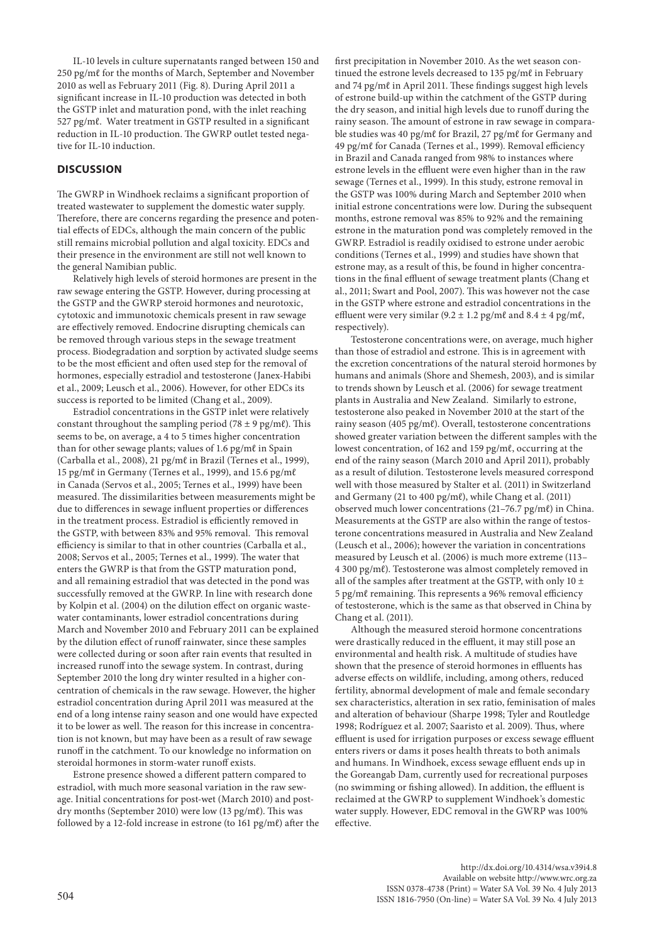IL-10 levels in culture supernatants ranged between 150 and 250 pg/mℓ for the months of March, September and November 2010 as well as February 2011 (Fig. 8). During April 2011 a significant increase in IL-10 production was detected in both the GSTP inlet and maturation pond, with the inlet reaching 527 pg/mℓ. Water treatment in GSTP resulted in a significant reduction in IL-10 production. The GWRP outlet tested negative for IL-10 induction.

### **DISCUSSION**

The GWRP in Windhoek reclaims a significant proportion of treated wastewater to supplement the domestic water supply. Therefore, there are concerns regarding the presence and potential effects of EDCs, although the main concern of the public still remains microbial pollution and algal toxicity. EDCs and their presence in the environment are still not well known to the general Namibian public.

Relatively high levels of steroid hormones are present in the raw sewage entering the GSTP. However, during processing at the GSTP and the GWRP steroid hormones and neurotoxic, cytotoxic and immunotoxic chemicals present in raw sewage are effectively removed. Endocrine disrupting chemicals can be removed through various steps in the sewage treatment process. Biodegradation and sorption by activated sludge seems to be the most efficient and often used step for the removal of hormones, especially estradiol and testosterone (Janex-Habibi et al., 2009; Leusch et al., 2006). However, for other EDCs its success is reported to be limited (Chang et al., 2009).

Estradiol concentrations in the GSTP inlet were relatively constant throughout the sampling period (78  $\pm$  9 pg/mℓ). This seems to be, on average, a 4 to 5 times higher concentration than for other sewage plants; values of 1.6 pg/mℓ in Spain (Carballa et al., 2008), 21 pg/mℓ in Brazil (Ternes et al., 1999), 15 pg/ml in Germany (Ternes et al., 1999), and 15.6 pg/ml in Canada (Servos et al., 2005; Ternes et al., 1999) have been measured. The dissimilarities between measurements might be due to differences in sewage influent properties or differences in the treatment process. Estradiol is efficiently removed in the GSTP, with between 83% and 95% removal. This removal efficiency is similar to that in other countries (Carballa et al., 2008; Servos et al., 2005; Ternes et al., 1999). The water that enters the GWRP is that from the GSTP maturation pond, and all remaining estradiol that was detected in the pond was successfully removed at the GWRP. In line with research done by Kolpin et al. (2004) on the dilution effect on organic wastewater contaminants, lower estradiol concentrations during March and November 2010 and February 2011 can be explained by the dilution effect of runoff rainwater, since these samples were collected during or soon after rain events that resulted in increased runoff into the sewage system. In contrast, during September 2010 the long dry winter resulted in a higher concentration of chemicals in the raw sewage. However, the higher estradiol concentration during April 2011 was measured at the end of a long intense rainy season and one would have expected it to be lower as well. The reason for this increase in concentration is not known, but may have been as a result of raw sewage runoff in the catchment. To our knowledge no information on steroidal hormones in storm-water runoff exists.

Estrone presence showed a different pattern compared to estradiol, with much more seasonal variation in the raw sewage. Initial concentrations for post-wet (March 2010) and postdry months (September 2010) were low (13 pg/mℓ). This was followed by a 12-fold increase in estrone (to 161 pg/mℓ) after the first precipitation in November 2010. As the wet season continued the estrone levels decreased to 135 pg/mℓ in February and 74 pg/mℓ in April 2011. These findings suggest high levels of estrone build-up within the catchment of the GSTP during the dry season, and initial high levels due to runoff during the rainy season. The amount of estrone in raw sewage in comparable studies was 40 pg/mℓ for Brazil, 27 pg/mℓ for Germany and 49 pg/mℓ for Canada (Ternes et al., 1999). Removal efficiency in Brazil and Canada ranged from 98% to instances where estrone levels in the effluent were even higher than in the raw sewage (Ternes et al., 1999). In this study, estrone removal in the GSTP was 100% during March and September 2010 when initial estrone concentrations were low. During the subsequent months, estrone removal was 85% to 92% and the remaining estrone in the maturation pond was completely removed in the GWRP. Estradiol is readily oxidised to estrone under aerobic conditions (Ternes et al., 1999) and studies have shown that estrone may, as a result of this, be found in higher concentrations in the final effluent of sewage treatment plants (Chang et al., 2011; Swart and Pool, 2007). This was however not the case in the GSTP where estrone and estradiol concentrations in the effluent were very similar  $(9.2 \pm 1.2 \text{ pg/m}\ell$  and  $8.4 \pm 4 \text{ pg/m}\ell$ , respectively).

Testosterone concentrations were, on average, much higher than those of estradiol and estrone. This is in agreement with the excretion concentrations of the natural steroid hormones by humans and animals (Shore and Shemesh, 2003), and is similar to trends shown by Leusch et al. (2006) for sewage treatment plants in Australia and New Zealand. Similarly to estrone, testosterone also peaked in November 2010 at the start of the rainy season (405 pg/mℓ). Overall, testosterone concentrations showed greater variation between the different samples with the lowest concentration, of 162 and 159 pg/mℓ, occurring at the end of the rainy season (March 2010 and April 2011), probably as a result of dilution. Testosterone levels measured correspond well with those measured by Stalter et al. (2011) in Switzerland and Germany (21 to 400 pg/mℓ), while Chang et al. (2011) observed much lower concentrations (21–76.7 pg/mℓ) in China. Measurements at the GSTP are also within the range of testosterone concentrations measured in Australia and New Zealand (Leusch et al., 2006); however the variation in concentrations measured by Leusch et al. (2006) is much more extreme (113– 4 300 pg/mℓ). Testosterone was almost completely removed in all of the samples after treatment at the GSTP, with only 10  $\pm$ 5 pg/mℓ remaining. This represents a 96% removal efficiency of testosterone, which is the same as that observed in China by Chang et al. (2011).

Although the measured steroid hormone concentrations were drastically reduced in the effluent, it may still pose an environmental and health risk. A multitude of studies have shown that the presence of steroid hormones in effluents has adverse effects on wildlife, including, among others, reduced fertility, abnormal development of male and female secondary sex characteristics, alteration in sex ratio, feminisation of males and alteration of behaviour (Sharpe 1998; Tyler and Routledge 1998; Rodríguez et al. 2007; Saaristo et al. 2009). Thus, where effluent is used for irrigation purposes or excess sewage effluent enters rivers or dams it poses health threats to both animals and humans. In Windhoek, excess sewage effluent ends up in the Goreangab Dam, currently used for recreational purposes (no swimming or fishing allowed). In addition, the effluent is reclaimed at the GWRP to supplement Windhoek's domestic water supply. However, EDC removal in the GWRP was 100% effective.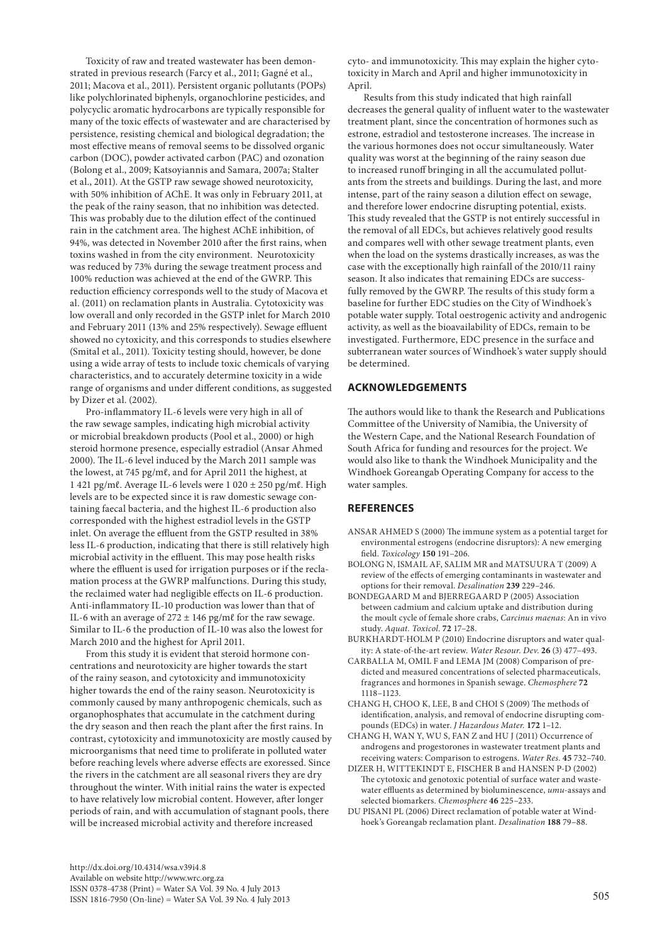Toxicity of raw and treated wastewater has been demonstrated in previous research (Farcy et al., 2011; Gagné et al., 2011; Macova et al., 2011). Persistent organic pollutants (POPs) like polychlorinated biphenyls, organochlorine pesticides, and polycyclic aromatic hydrocarbons are typically responsible for many of the toxic effects of wastewater and are characterised by persistence, resisting chemical and biological degradation; the most effective means of removal seems to be dissolved organic carbon (DOC), powder activated carbon (PAC) and ozonation (Bolong et al., 2009; Katsoyiannis and Samara, 2007a; Stalter et al., 2011). At the GSTP raw sewage showed neurotoxicity, with 50% inhibition of AChE. It was only in February 2011, at the peak of the rainy season, that no inhibition was detected. This was probably due to the dilution effect of the continued rain in the catchment area. The highest AChE inhibition, of 94%, was detected in November 2010 after the first rains, when toxins washed in from the city environment. Neurotoxicity was reduced by 73% during the sewage treatment process and 100% reduction was achieved at the end of the GWRP. This reduction efficiency corresponds well to the study of Macova et al. (2011) on reclamation plants in Australia. Cytotoxicity was low overall and only recorded in the GSTP inlet for March 2010 and February 2011 (13% and 25% respectively). Sewage effluent showed no cytoxicity, and this corresponds to studies elsewhere (Smital et al., 2011). Toxicity testing should, however, be done using a wide array of tests to include toxic chemicals of varying characteristics, and to accurately determine toxicity in a wide range of organisms and under different conditions, as suggested by Dizer et al. (2002).

Pro-inflammatory IL-6 levels were very high in all of the raw sewage samples, indicating high microbial activity or microbial breakdown products (Pool et al., 2000) or high steroid hormone presence, especially estradiol (Ansar Ahmed 2000). The IL-6 level induced by the March 2011 sample was the lowest, at 745 pg/mℓ, and for April 2011 the highest, at 1 421 pg/mℓ. Average IL-6 levels were 1 020 ± 250 pg/mℓ. High levels are to be expected since it is raw domestic sewage containing faecal bacteria, and the highest IL-6 production also corresponded with the highest estradiol levels in the GSTP inlet. On average the effluent from the GSTP resulted in 38% less IL-6 production, indicating that there is still relatively high microbial activity in the effluent. This may pose health risks where the effluent is used for irrigation purposes or if the reclamation process at the GWRP malfunctions. During this study, the reclaimed water had negligible effects on IL-6 production. Anti-inflammatory IL-10 production was lower than that of IL-6 with an average of  $272 \pm 146$  pg/ml for the raw sewage. Similar to IL-6 the production of IL-10 was also the lowest for March 2010 and the highest for April 2011.

From this study it is evident that steroid hormone concentrations and neurotoxicity are higher towards the start of the rainy season, and cytotoxicity and immunotoxicity higher towards the end of the rainy season. Neurotoxicity is commonly caused by many anthropogenic chemicals, such as organophosphates that accumulate in the catchment during the dry season and then reach the plant after the first rains. In contrast, cytotoxicity and immunotoxicity are mostly caused by microorganisms that need time to proliferate in polluted water before reaching levels where adverse effects are exoressed. Since the rivers in the catchment are all seasonal rivers they are dry throughout the winter. With initial rains the water is expected to have relatively low microbial content. However, after longer periods of rain, and with accumulation of stagnant pools, there will be increased microbial activity and therefore increased

cyto- and immunotoxicity. This may explain the higher cytotoxicity in March and April and higher immunotoxicity in April.

Results from this study indicated that high rainfall decreases the general quality of influent water to the wastewater treatment plant, since the concentration of hormones such as estrone, estradiol and testosterone increases. The increase in the various hormones does not occur simultaneously. Water quality was worst at the beginning of the rainy season due to increased runoff bringing in all the accumulated pollutants from the streets and buildings. During the last, and more intense, part of the rainy season a dilution effect on sewage, and therefore lower endocrine disrupting potential, exists. This study revealed that the GSTP is not entirely successful in the removal of all EDCs, but achieves relatively good results and compares well with other sewage treatment plants, even when the load on the systems drastically increases, as was the case with the exceptionally high rainfall of the 2010/11 rainy season. It also indicates that remaining EDCs are successfully removed by the GWRP. The results of this study form a baseline for further EDC studies on the City of Windhoek's potable water supply. Total oestrogenic activity and androgenic activity, as well as the bioavailability of EDCs, remain to be investigated. Furthermore, EDC presence in the surface and subterranean water sources of Windhoek's water supply should be determined.

# **ACKNOWLEDGEMENTS**

The authors would like to thank the Research and Publications Committee of the University of Namibia, the University of the Western Cape, and the National Research Foundation of South Africa for funding and resources for the project. We would also like to thank the Windhoek Municipality and the Windhoek Goreangab Operating Company for access to the water samples.

### **REFERENCES**

- ANSAR AHMED S (2000) The immune system as a potential target for environmental estrogens (endocrine disruptors): A new emerging field. *Toxicology* **150** 191–206.
- BOLONG N, ISMAIL AF, SALIM MR and MATSUURA T (2009) A review of the effects of emerging contaminants in wastewater and options for their removal. *Desalination* **239** 229–246.
- BONDEGAARD M and BJERREGAARD P (2005) Association between cadmium and calcium uptake and distribution during the moult cycle of female shore crabs, *Carcinus maenas*: An in vivo study. *Aquat. Toxicol*. **72** 17–28.
- BURKHARDT-HOLM P (2010) Endocrine disruptors and water quality: A state-of-the-art review. *Water Resour. Dev*. **26** (3) 477–493.
- CARBALLA M, OMIL F and LEMA JM (2008) Comparison of predicted and measured concentrations of selected pharmaceuticals, fragrances and hormones in Spanish sewage. *Chemosphere* **72** 1118–1123.
- CHANG H, CHOO K, LEE, B and CHOI S (2009) The methods of identification, analysis, and removal of endocrine disrupting compounds (EDCs) in water. *J Hazardous Mater.* **172** 1–12.
- CHANG H, WAN Y, WU S, FAN Z and HU J (2011) Occurrence of androgens and progestorones in wastewater treatment plants and receiving waters: Comparison to estrogens. *Water Res*. **45** 732–740.
- DIZER H, WITTEKINDT E, FISCHER B and HANSEN P-D (2002) The cytotoxic and genotoxic potential of surface water and wastewater effluents as determined by bioluminescence, *umu*-assays and selected biomarkers. *Chemosphere* **46** 225–233.
- DU PISANI PL (2006) Direct reclamation of potable water at Windhoek's Goreangab reclamation plant. *Desalination* **188** 79–88.